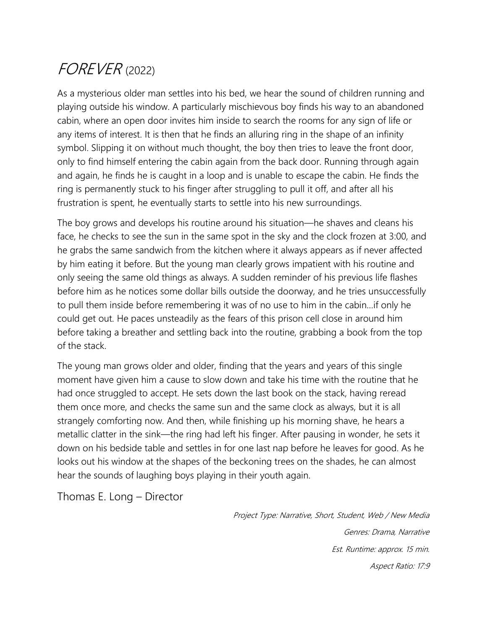## FOREVER (2022)

As a mysterious older man settles into his bed, we hear the sound of children running and playing outside his window. A particularly mischievous boy finds his way to an abandoned cabin, where an open door invites him inside to search the rooms for any sign of life or any items of interest. It is then that he finds an alluring ring in the shape of an infinity symbol. Slipping it on without much thought, the boy then tries to leave the front door, only to find himself entering the cabin again from the back door. Running through again and again, he finds he is caught in a loop and is unable to escape the cabin. He finds the ring is permanently stuck to his finger after struggling to pull it off, and after all his frustration is spent, he eventually starts to settle into his new surroundings.

The boy grows and develops his routine around his situation—he shaves and cleans his face, he checks to see the sun in the same spot in the sky and the clock frozen at 3:00, and he grabs the same sandwich from the kitchen where it always appears as if never affected by him eating it before. But the young man clearly grows impatient with his routine and only seeing the same old things as always. A sudden reminder of his previous life flashes before him as he notices some dollar bills outside the doorway, and he tries unsuccessfully to pull them inside before remembering it was of no use to him in the cabin…if only he could get out. He paces unsteadily as the fears of this prison cell close in around him before taking a breather and settling back into the routine, grabbing a book from the top of the stack.

The young man grows older and older, finding that the years and years of this single moment have given him a cause to slow down and take his time with the routine that he had once struggled to accept. He sets down the last book on the stack, having reread them once more, and checks the same sun and the same clock as always, but it is all strangely comforting now. And then, while finishing up his morning shave, he hears a metallic clatter in the sink—the ring had left his finger. After pausing in wonder, he sets it down on his bedside table and settles in for one last nap before he leaves for good. As he looks out his window at the shapes of the beckoning trees on the shades, he can almost hear the sounds of laughing boys playing in their youth again.

Thomas E. Long – Director

Project Type: Narrative, Short, Student, Web / New Media Genres: Drama, Narrative Est. Runtime: approx. 15 min. Aspect Ratio: 17:9